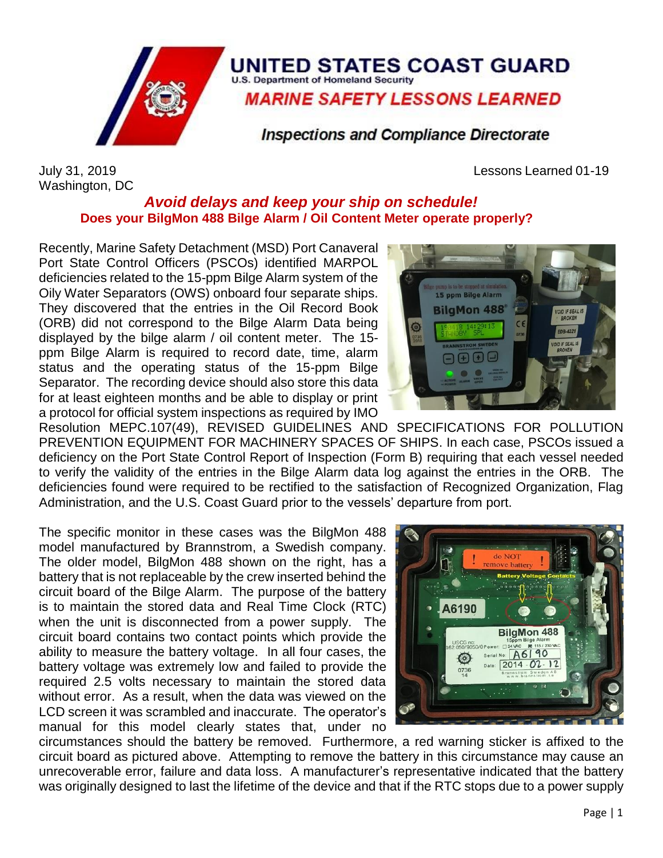

## UNITED STATES COAST GUARD **U.S. Department of Homeland Security**

**MARINE SAFETY LESSONS LEARNED** 

**Inspections and Compliance Directorate** 

Washington, DC

July 31, 2019 Lessons Learned 01-19

## *Avoid delays and keep your ship on schedule!* **Does your BilgMon 488 Bilge Alarm / Oil Content Meter operate properly?**

Recently, Marine Safety Detachment (MSD) Port Canaveral Port State Control Officers (PSCOs) identified MARPOL deficiencies related to the 15-ppm Bilge Alarm system of the Oily Water Separators (OWS) onboard four separate ships. They discovered that the entries in the Oil Record Book (ORB) did not correspond to the Bilge Alarm Data being displayed by the bilge alarm / oil content meter. The 15 ppm Bilge Alarm is required to record date, time, alarm status and the operating status of the 15-ppm Bilge Separator. The recording device should also store this data for at least eighteen months and be able to display or print a protocol for official system inspections as required by IMO



Resolution MEPC.107(49), REVISED GUIDELINES AND SPECIFICATIONS FOR POLLUTION PREVENTION EQUIPMENT FOR MACHINERY SPACES OF SHIPS. In each case, PSCOs issued a deficiency on the Port State Control Report of Inspection (Form B) requiring that each vessel needed to verify the validity of the entries in the Bilge Alarm data log against the entries in the ORB. The deficiencies found were required to be rectified to the satisfaction of Recognized Organization, Flag Administration, and the U.S. Coast Guard prior to the vessels' departure from port.

The specific monitor in these cases was the BilgMon 488 model manufactured by Brannstrom, a Swedish company. The older model, BilgMon 488 shown on the right, has a battery that is not replaceable by the crew inserted behind the circuit board of the Bilge Alarm. The purpose of the battery is to maintain the stored data and Real Time Clock (RTC) when the unit is disconnected from a power supply. The circuit board contains two contact points which provide the ability to measure the battery voltage. In all four cases, the battery voltage was extremely low and failed to provide the required 2.5 volts necessary to maintain the stored data without error. As a result, when the data was viewed on the LCD screen it was scrambled and inaccurate. The operator's manual for this model clearly states that, under no



circumstances should the battery be removed. Furthermore, a red warning sticker is affixed to the circuit board as pictured above. Attempting to remove the battery in this circumstance may cause an unrecoverable error, failure and data loss. A manufacturer's representative indicated that the battery was originally designed to last the lifetime of the device and that if the RTC stops due to a power supply